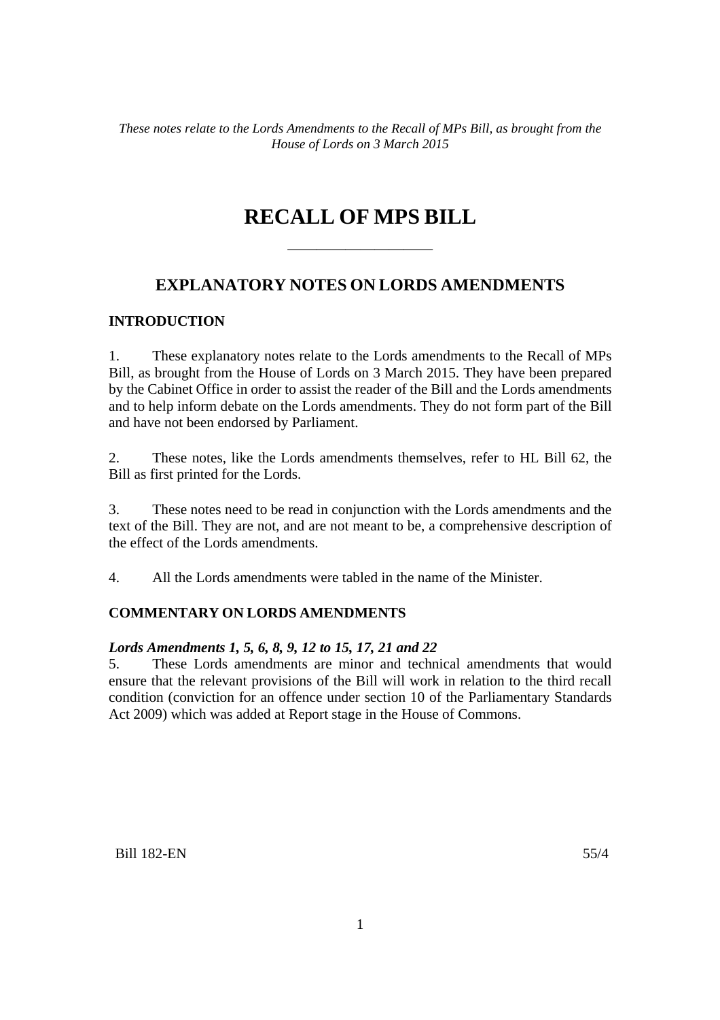## **RECALL OF MPS BILL**

——————————

## **EXPLANATORY NOTES ON LORDS AMENDMENTS**

## **INTRODUCTION**

1. These explanatory notes relate to the Lords amendments to the Recall of MPs Bill, as brought from the House of Lords on 3 March 2015. They have been prepared by the Cabinet Office in order to assist the reader of the Bill and the Lords amendments and to help inform debate on the Lords amendments. They do not form part of the Bill and have not been endorsed by Parliament.

2. These notes, like the Lords amendments themselves, refer to HL Bill 62, the Bill as first printed for the Lords.

3. These notes need to be read in conjunction with the Lords amendments and the text of the Bill. They are not, and are not meant to be, a comprehensive description of the effect of the Lords amendments.

4. All the Lords amendments were tabled in the name of the Minister.

## **COMMENTARY ON LORDS AMENDMENTS**

## *Lords Amendments 1, 5, 6, 8, 9, 12 to 15, 17, 21 and 22*

5. These Lords amendments are minor and technical amendments that would ensure that the relevant provisions of the Bill will work in relation to the third recall condition (conviction for an offence under section 10 of the Parliamentary Standards Act 2009) which was added at Report stage in the House of Commons.

Bill 182-EN 55/4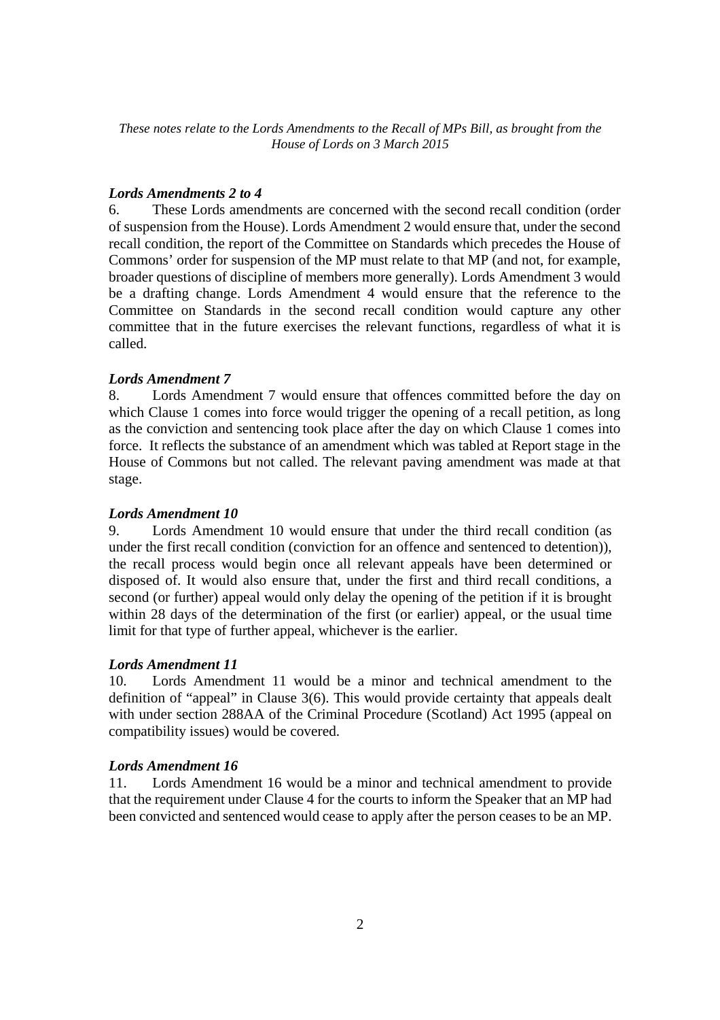#### *Lords Amendments 2 to 4*

6. These Lords amendments are concerned with the second recall condition (order of suspension from the House). Lords Amendment 2 would ensure that, under the second recall condition, the report of the Committee on Standards which precedes the House of Commons' order for suspension of the MP must relate to that MP (and not, for example, broader questions of discipline of members more generally). Lords Amendment 3 would be a drafting change. Lords Amendment 4 would ensure that the reference to the Committee on Standards in the second recall condition would capture any other committee that in the future exercises the relevant functions, regardless of what it is called.

## *Lords Amendment 7*

8. Lords Amendment 7 would ensure that offences committed before the day on which Clause 1 comes into force would trigger the opening of a recall petition, as long as the conviction and sentencing took place after the day on which Clause 1 comes into force. It reflects the substance of an amendment which was tabled at Report stage in the House of Commons but not called. The relevant paving amendment was made at that stage.

#### *Lords Amendment 10*

9. Lords Amendment 10 would ensure that under the third recall condition (as under the first recall condition (conviction for an offence and sentenced to detention)), the recall process would begin once all relevant appeals have been determined or disposed of. It would also ensure that, under the first and third recall conditions, a second (or further) appeal would only delay the opening of the petition if it is brought within 28 days of the determination of the first (or earlier) appeal, or the usual time limit for that type of further appeal, whichever is the earlier.

#### *Lords Amendment 11*

10. Lords Amendment 11 would be a minor and technical amendment to the definition of "appeal" in Clause 3(6). This would provide certainty that appeals dealt with under section 288AA of the Criminal Procedure (Scotland) Act 1995 (appeal on compatibility issues) would be covered.

## *Lords Amendment 16*

11. Lords Amendment 16 would be a minor and technical amendment to provide that the requirement under Clause 4 for the courts to inform the Speaker that an MP had been convicted and sentenced would cease to apply after the person ceases to be an MP.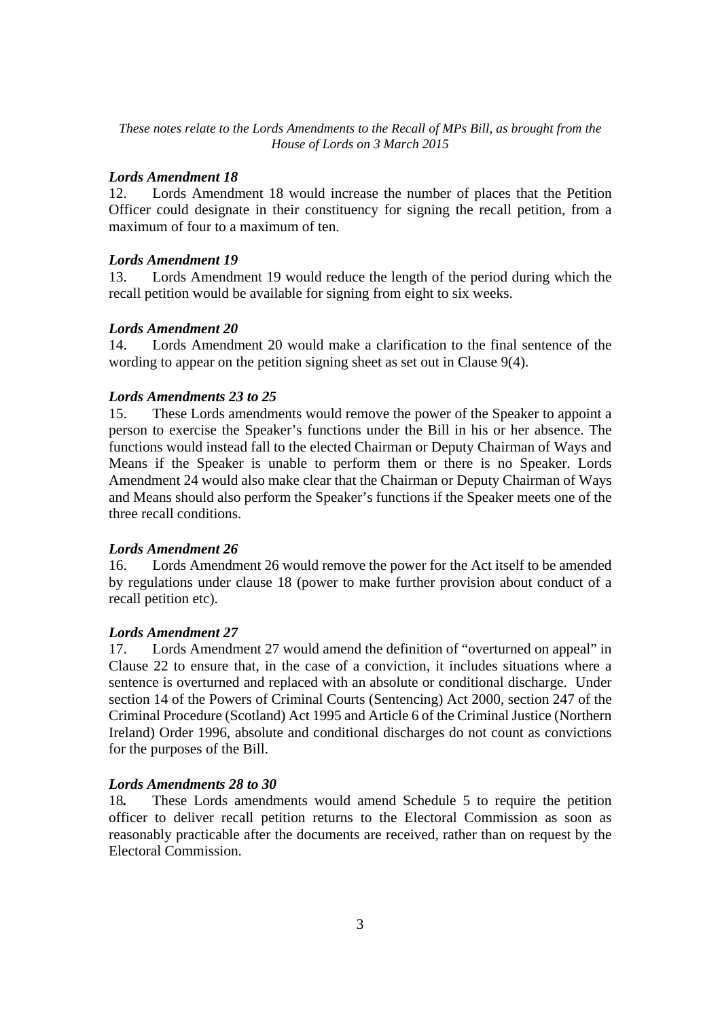#### *Lords Amendment 18*

12. Lords Amendment 18 would increase the number of places that the Petition Officer could designate in their constituency for signing the recall petition, from a maximum of four to a maximum of ten.

#### *Lords Amendment 19*

13. Lords Amendment 19 would reduce the length of the period during which the recall petition would be available for signing from eight to six weeks.

#### *Lords Amendment 20*

14. Lords Amendment 20 would make a clarification to the final sentence of the wording to appear on the petition signing sheet as set out in Clause 9(4).

#### *Lords Amendments 23 to 25*

15. These Lords amendments would remove the power of the Speaker to appoint a person to exercise the Speaker's functions under the Bill in his or her absence. The functions would instead fall to the elected Chairman or Deputy Chairman of Ways and Means if the Speaker is unable to perform them or there is no Speaker. Lords Amendment 24 would also make clear that the Chairman or Deputy Chairman of Ways and Means should also perform the Speaker's functions if the Speaker meets one of the three recall conditions.

## *Lords Amendment 26*

16. Lords Amendment 26 would remove the power for the Act itself to be amended by regulations under clause 18 (power to make further provision about conduct of a recall petition etc).

#### *Lords Amendment 27*

17. Lords Amendment 27 would amend the definition of "overturned on appeal" in Clause 22 to ensure that, in the case of a conviction, it includes situations where a sentence is overturned and replaced with an absolute or conditional discharge. Under section 14 of the Powers of Criminal Courts (Sentencing) Act 2000, section 247 of the Criminal Procedure (Scotland) Act 1995 and Article 6 of the Criminal Justice (Northern Ireland) Order 1996, absolute and conditional discharges do not count as convictions for the purposes of the Bill.

#### *Lords Amendments 28 to 30*

18*.* These Lords amendments would amend Schedule 5 to require the petition officer to deliver recall petition returns to the Electoral Commission as soon as reasonably practicable after the documents are received, rather than on request by the Electoral Commission.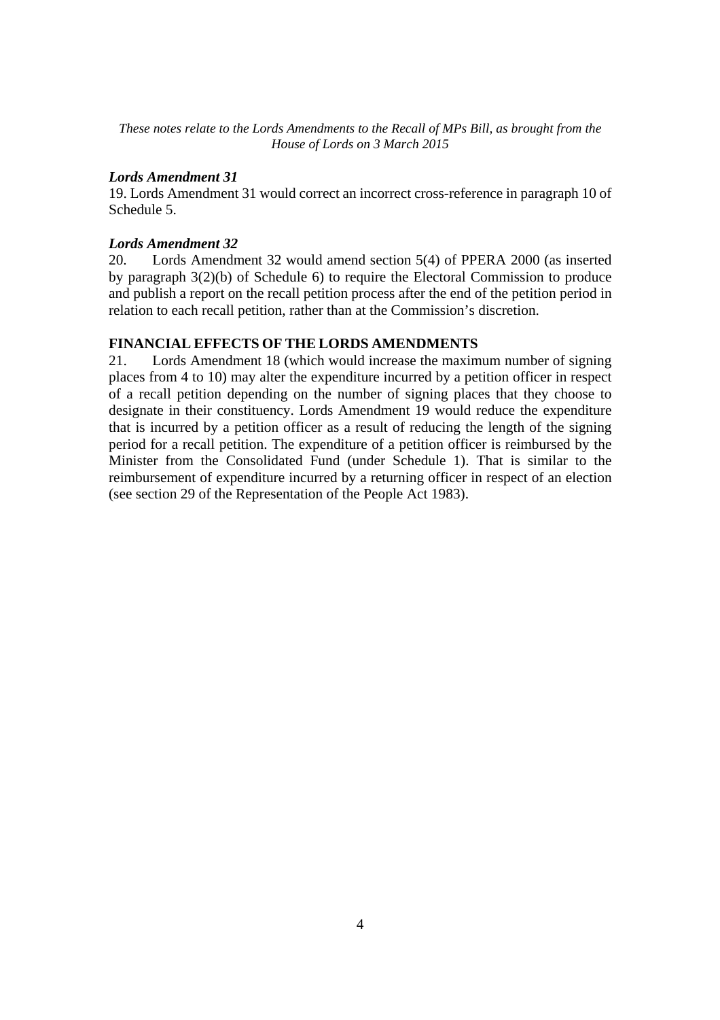## *Lords Amendment 31*

19. Lords Amendment 31 would correct an incorrect cross-reference in paragraph 10 of Schedule 5.

## *Lords Amendment 32*

20.Lords Amendment 32 would amend section 5(4) of PPERA 2000 (as inserted by paragraph 3(2)(b) of Schedule 6) to require the Electoral Commission to produce and publish a report on the recall petition process after the end of the petition period in relation to each recall petition, rather than at the Commission's discretion.

## **FINANCIAL EFFECTS OF THE LORDS AMENDMENTS**

21. Lords Amendment 18 (which would increase the maximum number of signing places from 4 to 10) may alter the expenditure incurred by a petition officer in respect of a recall petition depending on the number of signing places that they choose to designate in their constituency. Lords Amendment 19 would reduce the expenditure that is incurred by a petition officer as a result of reducing the length of the signing period for a recall petition. The expenditure of a petition officer is reimbursed by the Minister from the Consolidated Fund (under Schedule 1). That is similar to the reimbursement of expenditure incurred by a returning officer in respect of an election (see section 29 of the Representation of the People Act 1983).